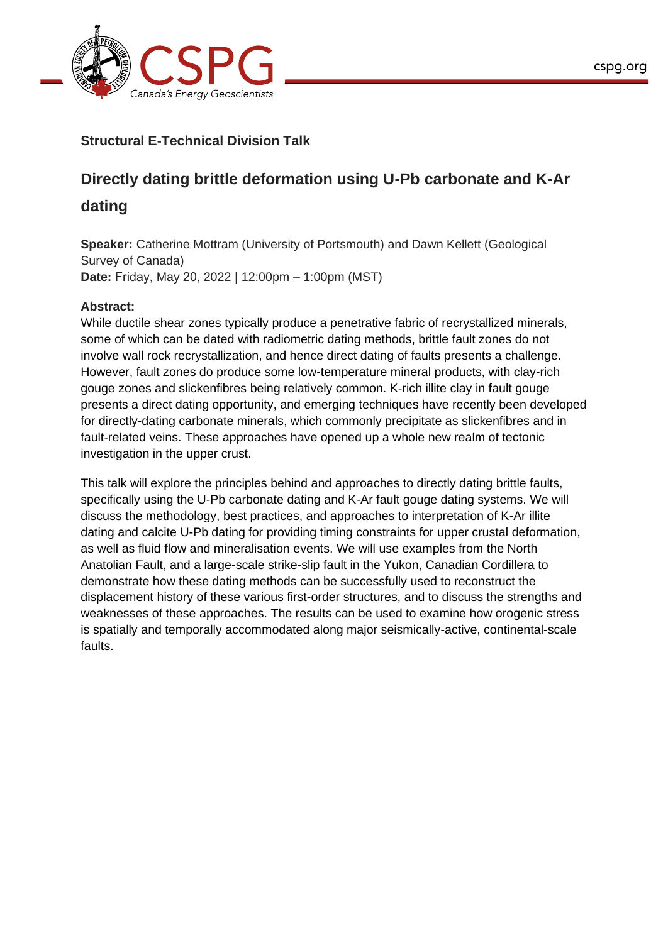

## **Structural E-Technical Division Talk**

# **Directly dating brittle deformation using U-Pb carbonate and K-Ar**

## **dating**

**Speaker:** Catherine Mottram (University of Portsmouth) and Dawn Kellett (Geological Survey of Canada) **Date:** Friday, May 20, 2022 | 12:00pm – 1:00pm (MST)

## **Abstract:**

While ductile shear zones typically produce a penetrative fabric of recrystallized minerals, some of which can be dated with radiometric dating methods, brittle fault zones do not involve wall rock recrystallization, and hence direct dating of faults presents a challenge. However, fault zones do produce some low-temperature mineral products, with clay-rich gouge zones and slickenfibres being relatively common. K-rich illite clay in fault gouge presents a direct dating opportunity, and emerging techniques have recently been developed for directly-dating carbonate minerals, which commonly precipitate as slickenfibres and in fault-related veins. These approaches have opened up a whole new realm of tectonic investigation in the upper crust.

This talk will explore the principles behind and approaches to directly dating brittle faults, specifically using the U-Pb carbonate dating and K-Ar fault gouge dating systems. We will discuss the methodology, best practices, and approaches to interpretation of K-Ar illite dating and calcite U-Pb dating for providing timing constraints for upper crustal deformation, as well as fluid flow and mineralisation events. We will use examples from the North Anatolian Fault, and a large-scale strike-slip fault in the Yukon, Canadian Cordillera to demonstrate how these dating methods can be successfully used to reconstruct the displacement history of these various first-order structures, and to discuss the strengths and weaknesses of these approaches. The results can be used to examine how orogenic stress is spatially and temporally accommodated along major seismically-active, continental-scale faults.